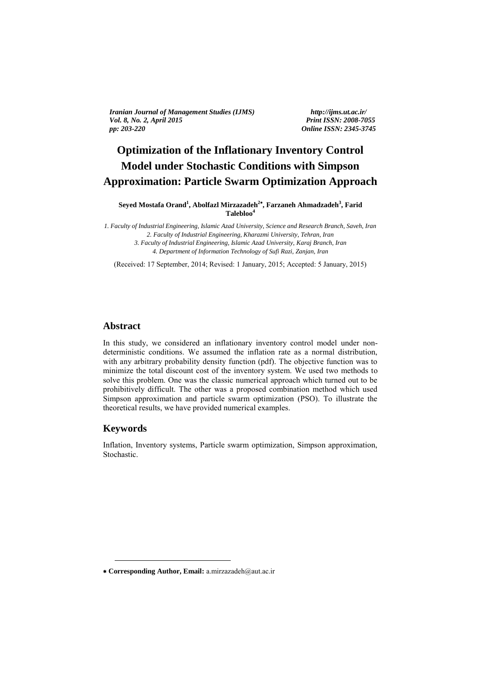*Iranian Journal of Management Studies (IJMS) http://ijms.ut.ac.ir/ Vol. 8, No. 2, April 2015 pp: 203-220 Online ISSN: 2345-3745*

# **Optimization of the Inflationary Inventory Control Model under Stochastic Conditions with Simpson**   **Approximation: Particle Swarm Optimization Approach**

**Seyed Mostafa Orand<sup>1</sup> , Abolfazl Mirzazadeh<sup>2</sup> , Farzaneh Ahmadzadeh<sup>3</sup> , Farid Talebloo<sup>4</sup>**

*1. Faculty of Industrial Engineering, Islamic Azad University, Science and Research Branch, Saveh, Iran 2. Faculty of Industrial Engineering, Kharazmi University, Tehran, Iran 3. Faculty of Industrial Engineering, Islamic Azad University, Karaj Branch, Iran 4. Department of Information Technology of Sufi Razi, Zanjan, Iran* 

(Received: 17 September, 2014; Revised: 1 January, 2015; Accepted: 5 January, 2015)

#### **Abstract**

In this study, we considered an inflationary inventory control model under nondeterministic conditions. We assumed the inflation rate as a normal distribution, with any arbitrary probability density function (pdf). The objective function was to minimize the total discount cost of the inventory system. We used two methods to solve this problem. One was the classic numerical approach which turned out to be prohibitively difficult. The other was a proposed combination method which used Simpson approximation and particle swarm optimization (PSO). To illustrate the theoretical results, we have provided numerical examples.

#### **Keywords**

-

Inflation, Inventory systems, Particle swarm optimization, Simpson approximation, Stochastic.

**Corresponding Author, Email:** a.mirzazadeh@aut.ac.ir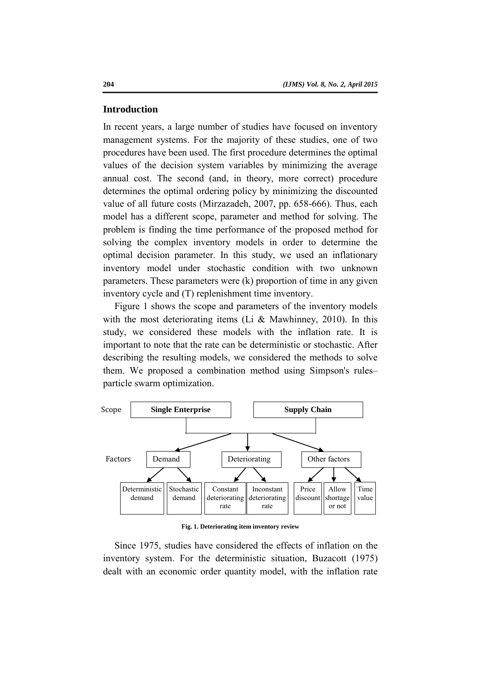#### **Introduction**

In recent years, a large number of studies have focused on inventory management systems. For the majority of these studies, one of two procedures have been used. The first procedure determines the optimal values of the decision system variables by minimizing the average annual cost. The second (and, in theory, more correct) procedure determines the optimal ordering policy by minimizing the discounted value of all future costs (Mirzazadeh, 2007, pp. 658-666). Thus, each model has a different scope, parameter and method for solving. The problem is finding the time performance of the proposed method for solving the complex inventory models in order to determine the optimal decision parameter. In this study, we used an inflationary inventory model under stochastic condition with two unknown parameters. These parameters were (k) proportion of time in any given inventory cycle and (T) replenishment time inventory.

Figure 1 shows the scope and parameters of the inventory models with the most deteriorating items (Li & Mawhinney, 2010). In this study, we considered these models with the inflation rate. It is important to note that the rate can be deterministic or stochastic. After describing the resulting models, we considered the methods to solve them. We proposed a combination method using Simpson's rules– particle swarm optimization.



**Fig. 1. Deteriorating item inventory review** 

Since 1975, studies have considered the effects of inflation on the inventory system. For the deterministic situation, Buzacott (1975) dealt with an economic order quantity model, with the inflation rate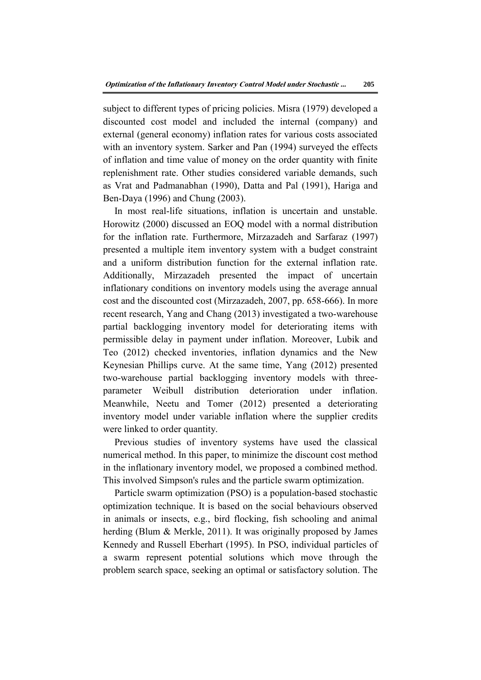subject to different types of pricing policies. Misra (1979) developed a discounted cost model and included the internal (company) and external (general economy) inflation rates for various costs associated with an inventory system. Sarker and Pan (1994) surveyed the effects of inflation and time value of money on the order quantity with finite replenishment rate. Other studies considered variable demands, such as Vrat and Padmanabhan (1990), Datta and Pal (1991), Hariga and Ben-Daya (1996) and Chung (2003).

In most real-life situations, inflation is uncertain and unstable. Horowitz (2000) discussed an EOQ model with a normal distribution for the inflation rate. Furthermore, Mirzazadeh and Sarfaraz (1997) presented a multiple item inventory system with a budget constraint and a uniform distribution function for the external inflation rate. Additionally, Mirzazadeh presented the impact of uncertain inflationary conditions on inventory models using the average annual cost and the discounted cost (Mirzazadeh, 2007, pp. 658-666). In more recent research, Yang and Chang (2013) investigated a two-warehouse partial backlogging inventory model for deteriorating items with permissible delay in payment under inflation. Moreover, Lubik and Teo (2012) checked inventories, inflation dynamics and the New Keynesian Phillips curve. At the same time, Yang (2012) presented two-warehouse partial backlogging inventory models with threeparameter Weibull distribution deterioration under inflation. Meanwhile, Neetu and Tomer (2012) presented a deteriorating inventory model under variable inflation where the supplier credits were linked to order quantity.

Previous studies of inventory systems have used the classical numerical method. In this paper, to minimize the discount cost method in the inflationary inventory model, we proposed a combined method. This involved Simpson's rules and the particle swarm optimization.

Particle swarm optimization (PSO) is a population-based stochastic optimization technique. It is based on the social behaviours observed in animals or insects, e.g., bird flocking, fish schooling and animal herding (Blum & Merkle, 2011). It was originally proposed by James Kennedy and Russell Eberhart (1995). In PSO, individual particles of a swarm represent potential solutions which move through the problem search space, seeking an optimal or satisfactory solution. The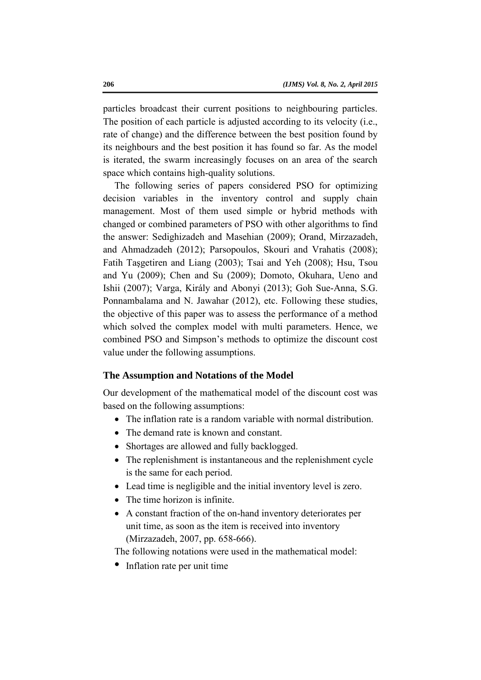particles broadcast their current positions to neighbouring particles. The position of each particle is adjusted according to its velocity (i.e., rate of change) and the difference between the best position found by its neighbours and the best position it has found so far. As the model is iterated, the swarm increasingly focuses on an area of the search space which contains high-quality solutions.

The following series of papers considered PSO for optimizing decision variables in the inventory control and supply chain management. Most of them used simple or hybrid methods with changed or combined parameters of PSO with other algorithms to find the answer: Sedighizadeh and Masehian (2009); Orand, Mirzazadeh, and Ahmadzadeh (2012); Parsopoulos, Skouri and Vrahatis (2008); Fatih Taşgetiren and Liang (2003); Tsai and Yeh (2008); Hsu, Tsou and Yu (2009); Chen and Su (2009); Domoto, Okuhara, Ueno and Ishii (2007); Varga, Király and Abonyi (2013); Goh Sue-Anna, S.G. Ponnambalama and N. Jawahar (2012), etc. Following these studies, the objective of this paper was to assess the performance of a method which solved the complex model with multi parameters. Hence, we combined PSO and Simpson's methods to optimize the discount cost value under the following assumptions.

### **The Assumption and Notations of the Model**

Our development of the mathematical model of the discount cost was based on the following assumptions:

- The inflation rate is a random variable with normal distribution.
- The demand rate is known and constant.
- Shortages are allowed and fully backlogged.
- The replenishment is instantaneous and the replenishment cycle is the same for each period.
- Lead time is negligible and the initial inventory level is zero.
- The time horizon is infinite.
- A constant fraction of the on-hand inventory deteriorates per unit time, as soon as the item is received into inventory (Mirzazadeh, 2007, pp. 658-666).

The following notations were used in the mathematical model:

• Inflation rate per unit time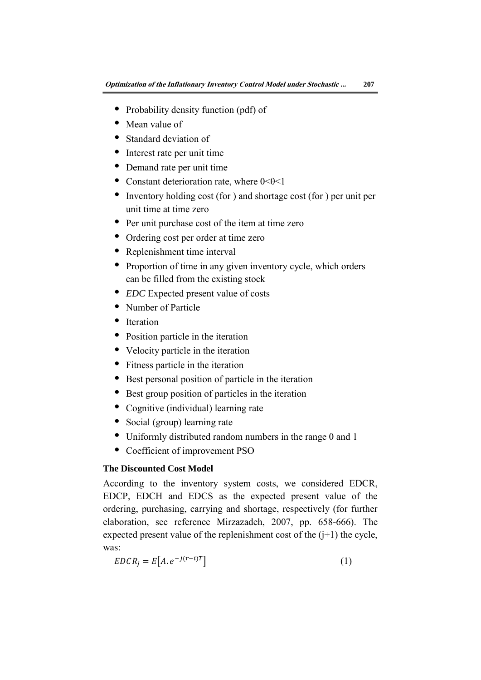- Probability density function (pdf) of
- Mean value of
- Standard deviation of
- Interest rate per unit time
- Demand rate per unit time
- Constant deterioration rate, where  $0 < \theta < 1$
- Inventory holding cost (for ) and shortage cost (for ) per unit per unit time at time zero
- Per unit purchase cost of the item at time zero
- Ordering cost per order at time zero
- Replenishment time interval
- Proportion of time in any given inventory cycle, which orders can be filled from the existing stock
- *EDC* Expected present value of costs
- Number of Particle
- Iteration
- Position particle in the iteration
- Velocity particle in the iteration
- Fitness particle in the iteration
- Best personal position of particle in the iteration
- Best group position of particles in the iteration
- Cognitive (individual) learning rate
- Social (group) learning rate
- Uniformly distributed random numbers in the range 0 and 1
- Coefficient of improvement PSO

## **The Discounted Cost Model**

According to the inventory system costs, we considered EDCR, EDCP, EDCH and EDCS as the expected present value of the ordering, purchasing, carrying and shortage, respectively (for further elaboration, see reference Mirzazadeh, 2007, pp. 658-666). The expected present value of the replenishment cost of the  $(i+1)$  the cycle, was:

$$
EDCR_j = E[A. e^{-j(r-i)T}]
$$
\n(1)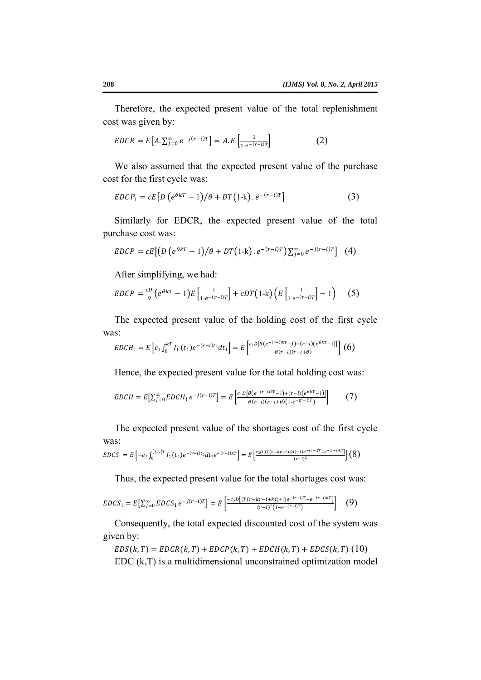Therefore, the expected present value of the total replenishment cost was given by:

$$
EDCR = E[A. \sum_{j=0}^{\infty} e^{-j(r-i)T}] = A.E\left[\frac{1}{1 - e^{-(r-i)T}}\right]
$$
 (2)

We also assumed that the expected present value of the purchase cost for the first cycle was:

$$
EDCP_1 = cE[D(e^{\theta kT} - 1)/\theta + DT(1-k).e^{-(r-i)T}]
$$
\n(3)

Similarly for EDCR, the expected present value of the total purchase cost was:

$$
EDCP = cE\left[\left(D\left(e^{\theta kT} - 1\right)/\theta + DT\left(1-k\right).e^{-\left(r-i\right)T}\right)\sum_{j=0}^{\infty}e^{-j\left(r-i\right)T}\right] \tag{4}
$$

After simplifying, we had:

$$
EDCP = \frac{cD}{\theta} \left( e^{\theta kT} - 1 \right) E \left[ \frac{1}{1 - e^{-(r-1)T}} \right] + cDT(1-k) \left( E \left[ \frac{1}{1 - e^{-(r-1)T}} \right] - 1 \right) \tag{5}
$$

The expected present value of the holding cost of the first cycle was:

$$
EDCH_1 = E\left[c_1 \int_0^{kT} I_1(t_1)e^{-(r-i)t_1}dt_1\right] = E\left[\frac{c_1D[\theta(e^{-(r-i)kT}-1)+(r-i)(e^{\theta kT}-1)]}{\theta(r-i)(r-i+\theta)}\right] \tag{6}
$$

Hence, the expected present value for the total holding cost was:

$$
EDCH = E[\sum_{j=0}^{\infty} EDCH_1 e^{-j(r-i)T}] = E\left[\frac{c_1 D[\theta(e^{-(r-i)kT}-1) + (r-i)(e^{\theta kT}-1)]}{\theta(r-i)(r-i+\theta)(1-e^{-(r-i)T})}\right]
$$
(7)

The expected present value of the shortages cost of the first cycle was:

$$
EDCS_1 = E\left[ -c_2 \int_0^{(1-k)T} I_2(t_2) e^{-(r-i)t_2} dt_2 e^{-(r-i)kT} \right] = E\left[ \frac{c_2 D[(T(r-kr-i+ki)+1)e^{-(r-i)T}-e^{-(r-i)kT}]}{(r-i)^2} \right] (8)
$$

Thus, the expected present value for the total shortages cost was:

$$
EDCS_1 = E\left[\sum_{j=0}^{\infty} EDCS_1 e^{-j(r-i)T}\right] = E\left[\frac{-c_2 D\left[(T(r-kr-i+ki)+1)e^{-(r-i)T}-e^{-(r-i)kT}\right]}{(r-i)^2(1-e^{-(r-i)T})}\right] \tag{9}
$$

Consequently, the total expected discounted cost of the system was given by:

$$
EDS(k,T) = EDCR(k,T) + EDCP(k,T) + EDCH(k,T) + EDCS(k,T)
$$
 (10)  
EDC (k,T) is a multidimensional unconstrained optimization model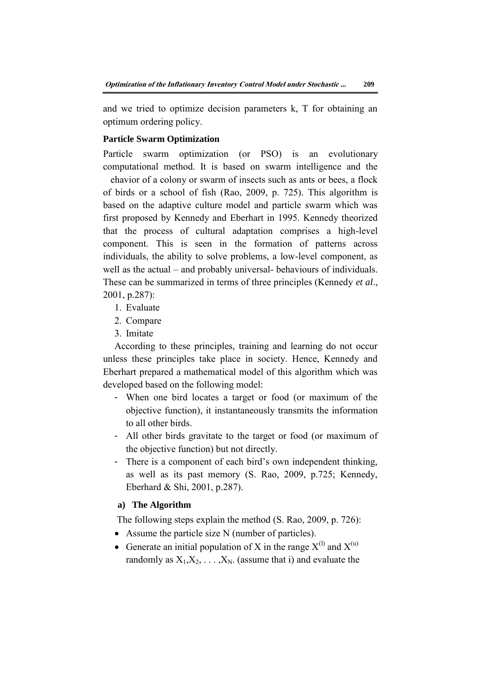and we tried to optimize decision parameters k, T for obtaining an optimum ordering policy.

#### **Particle Swarm Optimization**

Particle swarm optimization (or PSO) is an evolutionary computational method. It is based on swarm intelligence and the

 ehavior of a colony or swarm of insects such as ants or bees, a flock of birds or a school of fish (Rao, 2009, p. 725). This algorithm is based on the adaptive culture model and particle swarm which was first proposed by Kennedy and Eberhart in 1995. Kennedy theorized that the process of cultural adaptation comprises a high-level component. This is seen in the formation of patterns across individuals, the ability to solve problems, a low-level component, as well as the actual – and probably universal- behaviours of individuals. These can be summarized in terms of three principles (Kennedy *et al*., 2001, p.287):

- 1. Evaluate
- 2. Compare
- 3. Imitate

According to these principles, training and learning do not occur unless these principles take place in society. Hence, Kennedy and Eberhart prepared a mathematical model of this algorithm which was developed based on the following model:

- When one bird locates a target or food (or maximum of the objective function), it instantaneously transmits the information to all other birds.
- All other birds gravitate to the target or food (or maximum of the objective function) but not directly.
- There is a component of each bird's own independent thinking, as well as its past memory (S. Rao, 2009, p.725; Kennedy, Eberhard & Shi, 2001, p.287).

#### **a) The Algorithm**

The following steps explain the method (S. Rao, 2009, p. 726):

- Assume the particle size N (number of particles).
- Generate an initial population of X in the range  $X^{(l)}$  and  $X^{(u)}$ randomly as  $X_1, X_2, \ldots, X_N$ . (assume that i) and evaluate the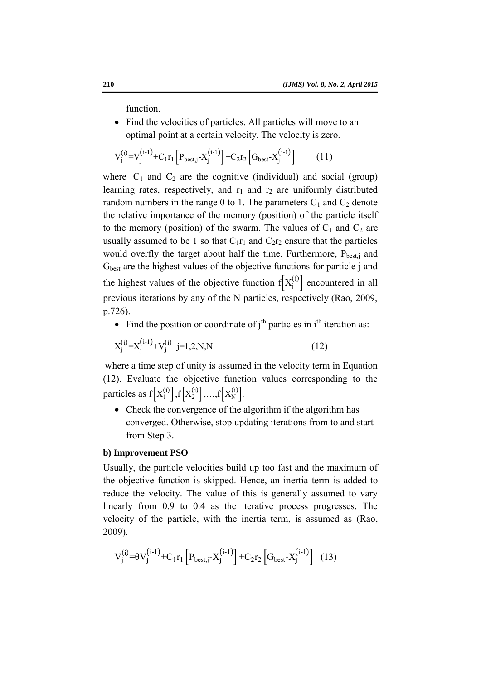function.

• Find the velocities of particles. All particles will move to an optimal point at a certain velocity. The velocity is zero.

$$
V_j^{(i)} = V_j^{(i-1)} + C_1 r_1 \left[ P_{best,j} - X_j^{(i-1)} \right] + C_2 r_2 \left[ G_{best} - X_j^{(i-1)} \right] \tag{11}
$$

where  $C_1$  and  $C_2$  are the cognitive (individual) and social (group) learning rates, respectively, and  $r_1$  and  $r_2$  are uniformly distributed random numbers in the range 0 to 1. The parameters  $C_1$  and  $C_2$  denote the relative importance of the memory (position) of the particle itself to the memory (position) of the swarm. The values of  $C_1$  and  $C_2$  are usually assumed to be 1 so that  $C_1r_1$  and  $C_2r_2$  ensure that the particles would overfly the target about half the time. Furthermore,  $P_{best,i}$  and G<sub>best</sub> are the highest values of the objective functions for particle j and the highest values of the objective function  $f[X_j^{(i)}]$  encountered in all previous iterations by any of the N particles, respectively (Rao, 2009, p.726).

• Find the position or coordinate of  $j<sup>th</sup>$  particles in  $i<sup>th</sup>$  iteration as:

$$
X_j^{(i)} = X_j^{(i-1)} + V_j^{(i)} \quad j = 1, 2, N, N \tag{12}
$$

where a time step of unity is assumed in the velocity term in Equation (12). Evaluate the objective function values corresponding to the particles as  $f[X_1^{(i)}], f[X_2^{(i)}], ..., f[X_N^{(i)}].$ 

• Check the convergence of the algorithm if the algorithm has converged. Otherwise, stop updating iterations from to and start from Step 3.

#### **b) Improvement PSO**

Usually, the particle velocities build up too fast and the maximum of the objective function is skipped. Hence, an inertia term is added to reduce the velocity. The value of this is generally assumed to vary linearly from 0.9 to 0.4 as the iterative process progresses. The velocity of the particle, with the inertia term, is assumed as (Rao, 2009).

$$
V_j^{(i)} = \theta V_j^{(i-1)} + C_1 r_1 \left[ P_{best,j} - X_j^{(i-1)} \right] + C_2 r_2 \left[ G_{best} - X_j^{(i-1)} \right] \tag{13}
$$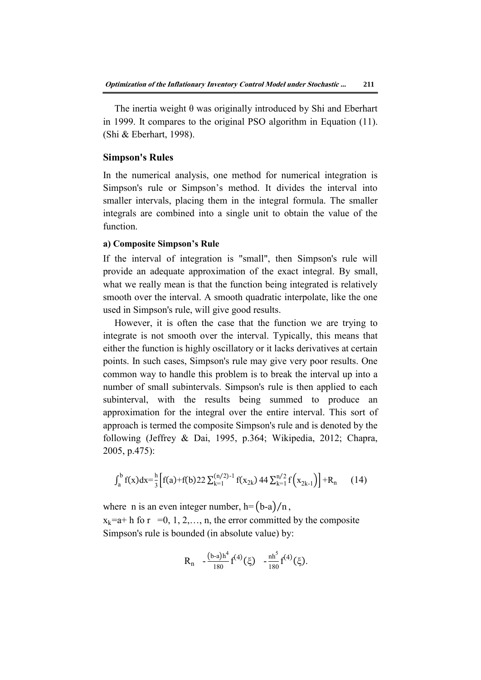The inertia weight θ was originally introduced by Shi and Eberhart in 1999. It compares to the original PSO algorithm in Equation (11). (Shi & Eberhart, 1998).

#### **Simpson's Rules**

In the numerical analysis, one method for numerical integration is Simpson's rule or Simpson's method. It divides the interval into smaller intervals, placing them in the integral formula. The smaller integrals are combined into a single unit to obtain the value of the function.

#### **a) Composite Simpson's Rule**

If the interval of integration is "small", then Simpson's rule will provide an adequate approximation of the exact integral. By small, what we really mean is that the function being integrated is relatively smooth over the interval. A smooth quadratic interpolate, like the one used in Simpson's rule, will give good results.

However, it is often the case that the function we are trying to integrate is not smooth over the interval. Typically, this means that either the function is highly oscillatory or it lacks derivatives at certain points. In such cases, Simpson's rule may give very poor results. One common way to handle this problem is to break the interval up into a number of small subintervals. Simpson's rule is then applied to each subinterval, with the results being summed to produce an approximation for the integral over the entire interval. This sort of approach is termed the composite Simpson's rule and is denoted by the following (Jeffrey & Dai, 1995, p.364; Wikipedia, 2012; Chapra, 2005, p.475):

$$
\int_{a}^{b} f(x) dx = \frac{h}{3} \left[ f(a) + f(b) 22 \sum_{k=1}^{(n/2)-1} f(x_{2k}) 44 \sum_{k=1}^{n/2} f(x_{2k-1}) \right] + R_n \tag{14}
$$

where n is an even integer number,  $h = (b-a)/n$ ,  $x_k=a+h$  fo r =0, 1, 2, ..., n, the error committed by the composite Simpson's rule is bounded (in absolute value) by:

$$
R_n - \frac{(b-a)h^4}{180}f^{(4)}(\xi) - \frac{nh^5}{180}f^{(4)}(\xi).
$$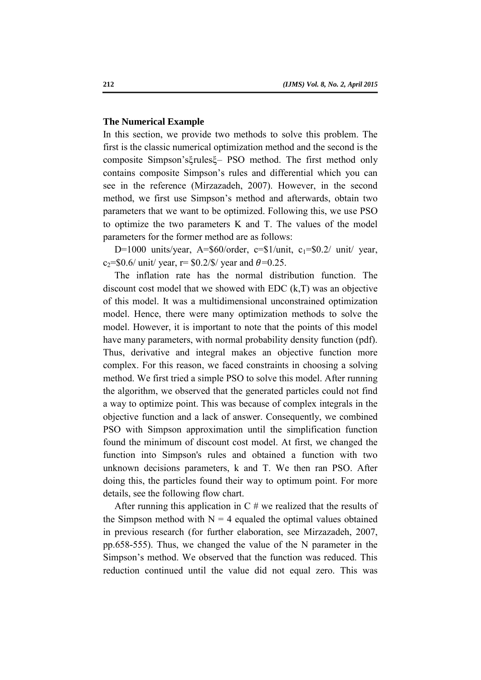#### **The Numerical Example**

In this section, we provide two methods to solve this problem. The first is the classic numerical optimization method and the second is the composite Simpson'sξrulesξ– PSO method. The first method only contains composite Simpson's rules and differential which you can see in the reference (Mirzazadeh, 2007). However, in the second method, we first use Simpson's method and afterwards, obtain two parameters that we want to be optimized. Following this, we use PSO to optimize the two parameters K and T. The values of the model parameters for the former method are as follows:

D=1000 units/year, A= $$60/order$ , c= $$1/unit$ , c<sub>1</sub>= $$0.2/unit$  year,  $c_2 = $0.6/$  unit/ year, r= \$0.2/\$/ year and  $\theta = 0.25$ .

The inflation rate has the normal distribution function. The discount cost model that we showed with EDC (k,T) was an objective of this model. It was a multidimensional unconstrained optimization model. Hence, there were many optimization methods to solve the model. However, it is important to note that the points of this model have many parameters, with normal probability density function (pdf). Thus, derivative and integral makes an objective function more complex. For this reason, we faced constraints in choosing a solving method. We first tried a simple PSO to solve this model. After running the algorithm, we observed that the generated particles could not find a way to optimize point. This was because of complex integrals in the objective function and a lack of answer. Consequently, we combined PSO with Simpson approximation until the simplification function found the minimum of discount cost model. At first, we changed the function into Simpson's rules and obtained a function with two unknown decisions parameters, k and T. We then ran PSO. After doing this, the particles found their way to optimum point. For more details, see the following flow chart.

After running this application in  $C \#$  we realized that the results of the Simpson method with  $N = 4$  equaled the optimal values obtained in previous research (for further elaboration, see Mirzazadeh, 2007, pp.658-555). Thus, we changed the value of the N parameter in the Simpson's method. We observed that the function was reduced. This reduction continued until the value did not equal zero. This was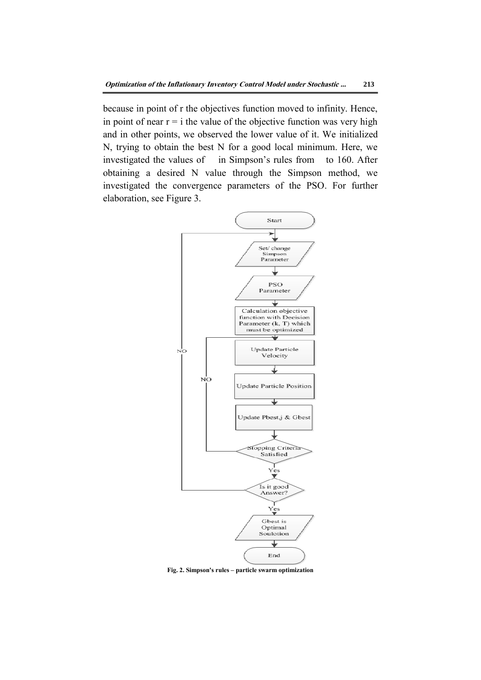because in point of r the objectives function moved to infinity. Hence, in point of near  $r = i$  the value of the objective function was very high and in other points, we observed the lower value of it. We initialized N, trying to obtain the best N for a good local minimum. Here, we investigated the values of in Simpson's rules from to 160. After obtaining a desired N value through the Simpson method, we investigated the convergence parameters of the PSO. For further elaboration, see Figure 3.



**Fig. 2. Simpson's rules – particle swarm optimization**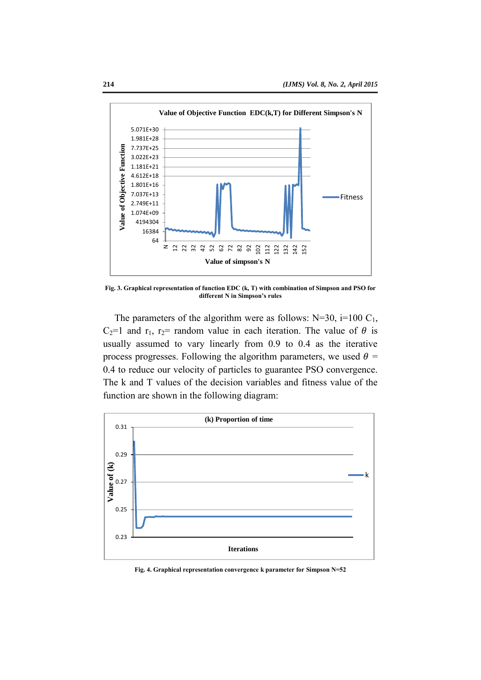

**Fig. 3. Graphical representation of function EDC (k, T) with combination of Simpson and PSO for different N in Simpson's rules**

The parameters of the algorithm were as follows:  $N=30$ ,  $i=100$  C<sub>1</sub>, C<sub>2</sub>=1 and r<sub>1</sub>, r<sub>2</sub>= random value in each iteration. The value of  $\theta$  is usually assumed to vary linearly from 0.9 to 0.4 as the iterative process progresses. Following the algorithm parameters, we used  $\theta$  = 0.4 to reduce our velocity of particles to guarantee PSO convergence. The k and T values of the decision variables and fitness value of the function are shown in the following diagram:



**Fig. 4. Graphical representation convergence k parameter for Simpson N=52**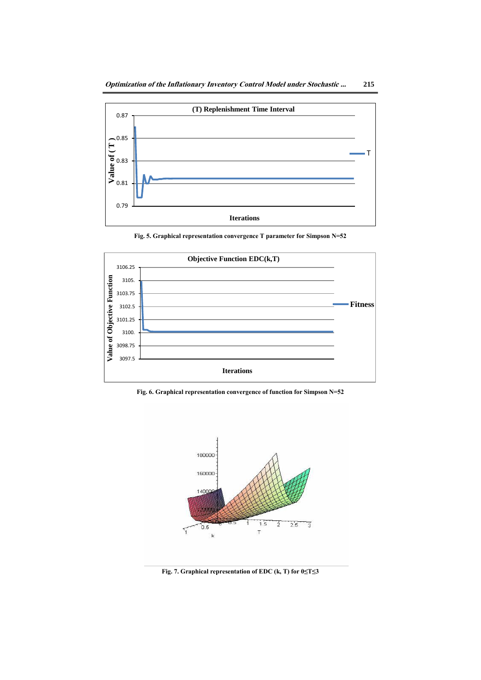

**Fig. 5. Graphical representation convergence T parameter for Simpson N=52** 



**Fig. 6. Graphical representation convergence of function for Simpson N=52** 



**Fig. 7. Graphical representation of EDC (k, T) for 0≤T≤3**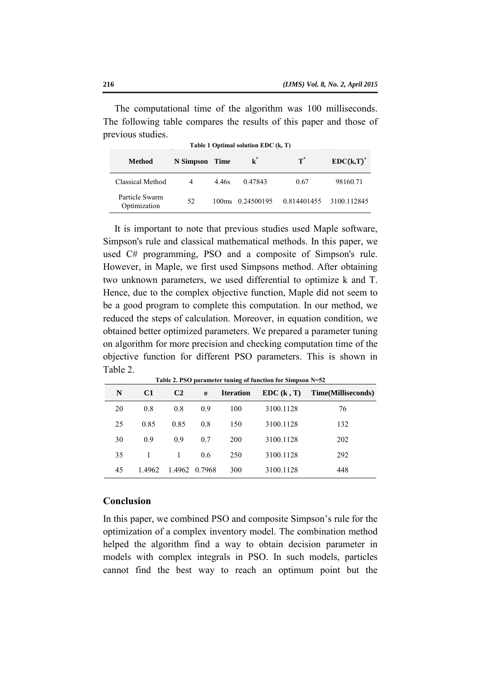The computational time of the algorithm was 100 milliseconds. The following table compares the results of this paper and those of previous studies.

| Table 1 Optimal solution EDC (k, T) |           |                   |                |                |              |  |  |  |  |
|-------------------------------------|-----------|-------------------|----------------|----------------|--------------|--|--|--|--|
| Method                              | N Simpson | <b>Time</b>       | $\mathbf{k}^*$ | $\textbf{T}^*$ | $EDC(k,T)^*$ |  |  |  |  |
| Classical Method                    | 4         | 4.46s             | 0.47843        | 0.67           | 98160.71     |  |  |  |  |
| Particle Swarm<br>Optimization      | 52        | 100 <sub>ms</sub> | 0.24500195     | 0.814401455    | 3100.112845  |  |  |  |  |

It is important to note that previous studies used Maple software, Simpson's rule and classical mathematical methods. In this paper, we used C# programming, PSO and a composite of Simpson's rule. However, in Maple, we first used Simpsons method. After obtaining two unknown parameters, we used differential to optimize k and T. Hence, due to the complex objective function, Maple did not seem to be a good program to complete this computation. In our method, we reduced the steps of calculation. Moreover, in equation condition, we obtained better optimized parameters. We prepared a parameter tuning on algorithm for more precision and checking computation time of the objective function for different PSO parameters. This is shown in Table 2.

| N  | C <sub>1</sub> | C <sub>2</sub> | e   | <b>Iteration</b> | EDC(k, T) | Time(Milliseconds) |
|----|----------------|----------------|-----|------------------|-----------|--------------------|
| 20 | 0.8            | 0.8            | 0.9 | 100              | 3100.1128 | 76                 |
| 25 | 0.85           | 0.85           | 0.8 | 150              | 3100.1128 | 132                |
| 30 | 09             | 09             | 0.7 | 200              | 3100.1128 | 202                |
| 35 |                | 1              | 0.6 | 250              | 3100.1128 | 292                |
| 45 | 1.4962         | 1.4962 0.7968  |     | 300              | 3100.1128 | 448                |

**Table 2. PSO parameter tuning of function for Simpson N=52**

#### **Conclusion**

In this paper, we combined PSO and composite Simpson's rule for the optimization of a complex inventory model. The combination method helped the algorithm find a way to obtain decision parameter in models with complex integrals in PSO. In such models, particles cannot find the best way to reach an optimum point but the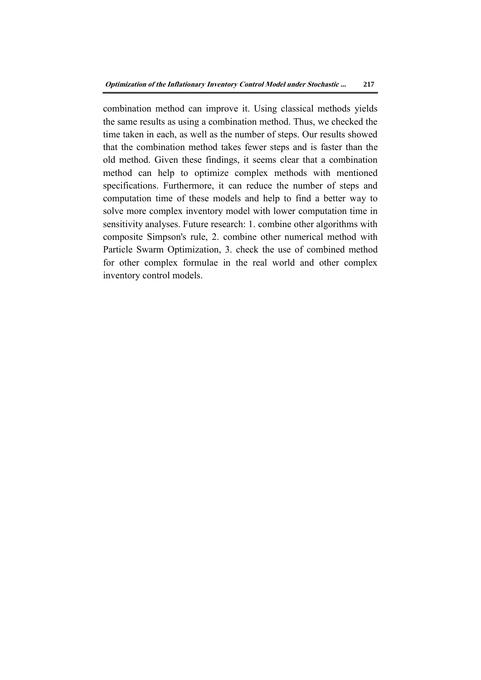combination method can improve it. Using classical methods yields the same results as using a combination method. Thus, we checked the time taken in each, as well as the number of steps. Our results showed that the combination method takes fewer steps and is faster than the old method. Given these findings, it seems clear that a combination method can help to optimize complex methods with mentioned specifications. Furthermore, it can reduce the number of steps and computation time of these models and help to find a better way to solve more complex inventory model with lower computation time in sensitivity analyses. Future research: 1. combine other algorithms with composite Simpson's rule, 2. combine other numerical method with Particle Swarm Optimization, 3. check the use of combined method for other complex formulae in the real world and other complex inventory control models.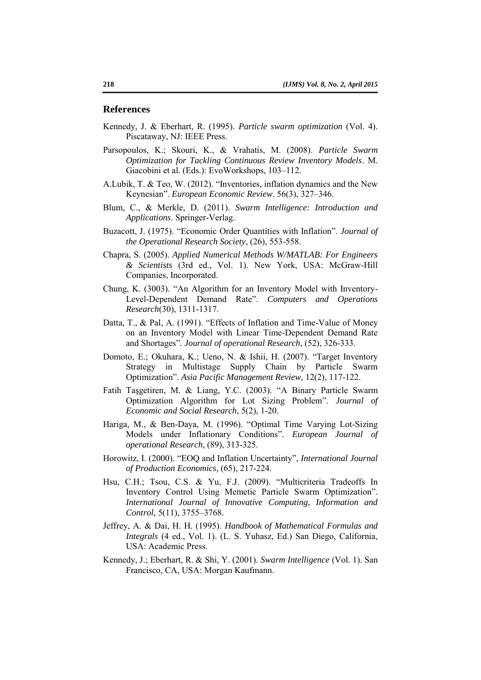#### **References**

- Kennedy, J. & Eberhart, R. (1995). *Particle swarm optimization* (Vol. 4). Piscataway, NJ: IEEE Press.
- Parsopoulos, K.; Skouri, K., & Vrahatis, M. (2008). *Particle Swarm Optimization for Tackling Continuous Review Inventory Models*. M. Giacobini et al. (Eds.): EvoWorkshops, 103–112.
- A.Lubik, T. & Teo, W. (2012). "Inventories, inflation dynamics and the New Keynesian". *European Economic Review*. 56(3), 327–346.
- Blum, C., & Merkle, D. (2011). *Swarm Intelligence: Introduction and Applications*. Springer-Verlag.
- Buzacott, J. (1975). "Economic Order Quantities with Inflation". *Journal of the Operational Research Society,* (26), 553-558.
- Chapra, S. (2005). *Applied Numerical Methods W/MATLAB: For Engineers & Scientists* (3rd ed., Vol. 1). New York, USA: McGraw-Hill Companies, Incorporated.
- Chung, K. (3003). "An Algorithm for an Inventory Model with Inventory-Level-Dependent Demand Rate". *Computers and Operations Research*(30), 1311-1317.
- Datta, T., & Pal, A. (1991). "Effects of Inflation and Time-Value of Money on an Inventory Model with Linear Time-Dependent Demand Rate and Shortages"*. Journal of operational Research*, (52), 326-333.
- Domoto, E.; Okuhara, K.; Ueno, N. & Ishii, H. (2007). "Target Inventory Strategy in Multistage Supply Chain by Particle Swarm Optimization". *Asia Pacific Management Review,* 12(2), 117-122.
- Fatih Taşgetiren, M. & Liang, Y.C. (2003). "A Binary Particle Swarm Optimization Algorithm for Lot Sizing Problem". *Journal of Economic and Social Research*, 5(2), 1-20.
- Hariga, M., & Ben-Daya, M. (1996). "Optimal Time Varying Lot-Sizing Models under Inflationary Conditions". *European Journal of operational Research,* (89), 313-325.
- Horowitz, I. (2000). "EOQ and Inflation Uncertainty", *International Journal of Production Economics,* (65), 217-224.
- Hsu, C.H.; Tsou, C.S. & Yu, F.J. (2009). "Multicriteria Tradeoffs In Inventory Control Using Memetic Particle Swarm Optimization". *International Journal of Innovative Computing, Information and Control,* 5(11), 3755–3768.
- Jeffrey, A. & Dai, H. H. (1995). *Handbook of Mathematical Formulas and Integrals* (4 ed., Vol. 1). (L. S. Yuhasz, Ed.) San Diego, California, USA: Academic Press.
- Kennedy, J.; Eberhart, R. & Shi, Y. (2001). *Swarm Intelligence* (Vol. 1). San Francisco, CA, USA: Morgan Kaufmann.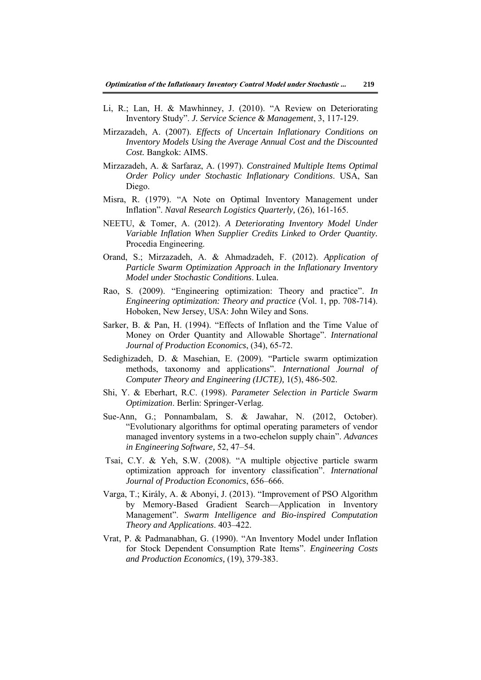- Li, R.; Lan, H. & Mawhinney, J. (2010). "A Review on Deteriorating Inventory Study". *J. Service Science & Management*, 3, 117-129.
- Mirzazadeh, A. (2007). *Effects of Uncertain Inflationary Conditions on Inventory Models Using the Average Annual Cost and the Discounted Cost.* Bangkok: AIMS.
- Mirzazadeh, A. & Sarfaraz, A. (1997). *Constrained Multiple Items Optimal Order Policy under Stochastic Inflationary Conditions*. USA, San Diego.
- Misra, R. (1979). "A Note on Optimal Inventory Management under Inflation". *Naval Research Logistics Quarterly,* (26), 161-165.
- NEETU, & Tomer, A. (2012). *A Deteriorating Inventory Model Under Variable Inflation When Supplier Credits Linked to Order Quantity.* Procedia Engineering.
- Orand, S.; Mirzazadeh, A. & Ahmadzadeh, F. (2012). *Application of Particle Swarm Optimization Approach in the Inflationary Inventory Model under Stochastic Conditions*. Lulea.
- Rao, S. (2009). "Engineering optimization: Theory and practice". *In Engineering optimization: Theory and practice* (Vol. 1, pp. 708-714). Hoboken, New Jersey, USA: John Wiley and Sons.
- Sarker, B. & Pan, H. (1994). "Effects of Inflation and the Time Value of Money on Order Quantity and Allowable Shortage". *International Journal of Production Economics*, (34), 65-72.
- Sedighizadeh, D. & Masehian, E. (2009). "Particle swarm optimization methods, taxonomy and applications". *International Journal of Computer Theory and Engineering (IJCTE),* 1(5), 486-502.
- Shi, Y. & Eberhart, R.C. (1998). *Parameter Selection in Particle Swarm Optimization. Berlin: Springer-Verlag.*
- Sue-Ann, G.; Ponnambalam, S. & Jawahar, N. (2012, October). "Evolutionary algorithms for optimal operating parameters of vendor managed inventory systems in a two-echelon supply chain". *Advances in Engineering Software,* 52, 47–54.
- Tsai, C.Y. & Yeh, S.W. (2008). "A multiple objective particle swarm optimization approach for inventory classification". *International Journal of Production Economics*, 656–666.
- Varga, T.; Király, A. & Abonyi, J. (2013). "Improvement of PSO Algorithm by Memory-Based Gradient Search—Application in Inventory Management". *Swarm Intelligence and Bio-inspired Computation Theory and Applications*. 403–422.
- Vrat, P. & Padmanabhan, G. (1990). "An Inventory Model under Inflation for Stock Dependent Consumption Rate Items". *Engineering Costs and Production Economics,* (19), 379-383.